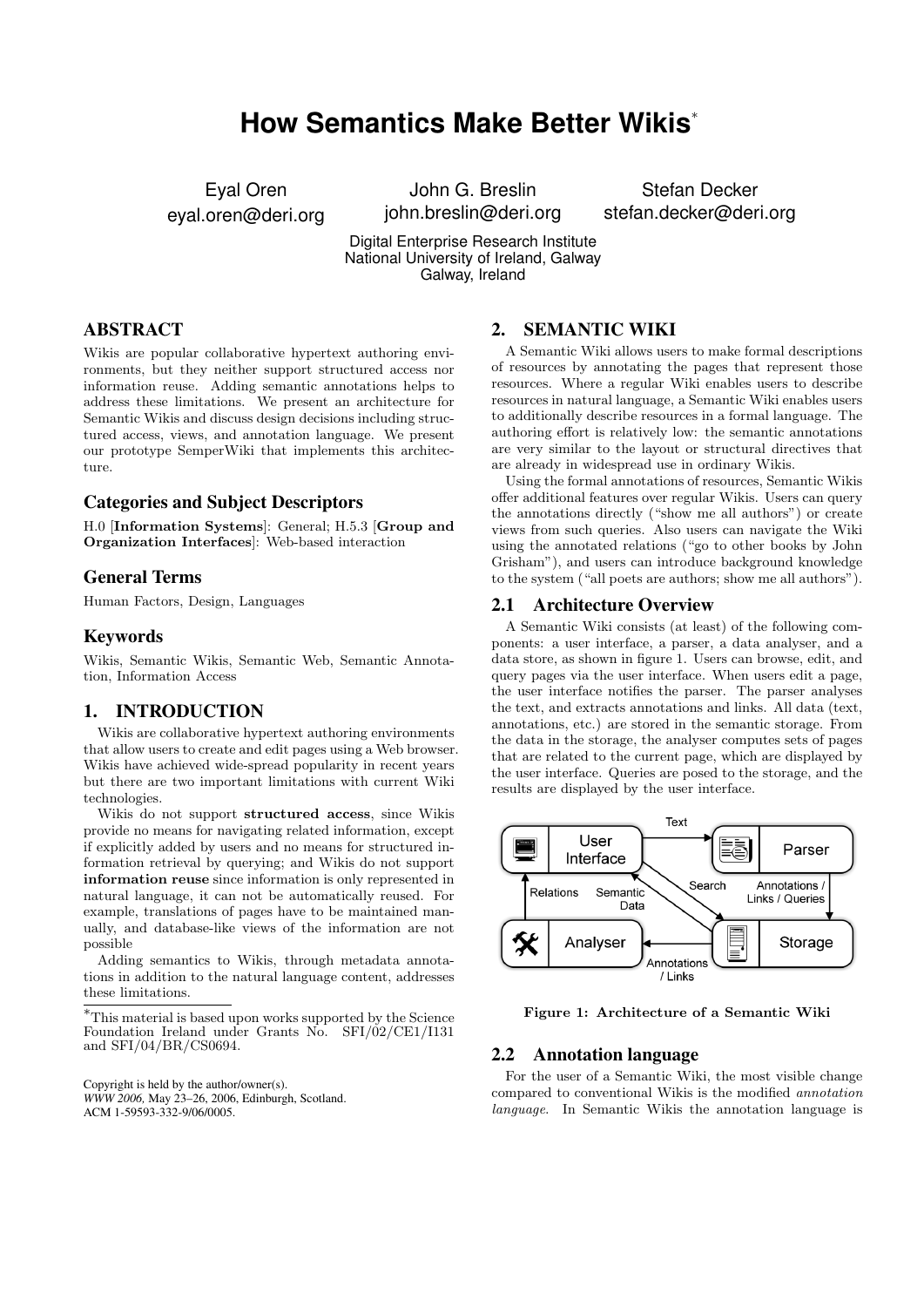# **How Semantics Make Better Wikis**<sup>∗</sup>

Eyal Oren eyal.oren@deri.org

John G. Breslin john.breslin@deri.org

Stefan Decker stefan.decker@deri.org

Digital Enterprise Research Institute National University of Ireland, Galway Galway, Ireland

# ABSTRACT

Wikis are popular collaborative hypertext authoring environments, but they neither support structured access nor information reuse. Adding semantic annotations helps to address these limitations. We present an architecture for Semantic Wikis and discuss design decisions including structured access, views, and annotation language. We present our prototype SemperWiki that implements this architecture.

# Categories and Subject Descriptors

H.0 [Information Systems]: General; H.5.3 [Group and Organization Interfaces]: Web-based interaction

#### General Terms

Human Factors, Design, Languages

#### Keywords

Wikis, Semantic Wikis, Semantic Web, Semantic Annotation, Information Access

# 1. INTRODUCTION

Wikis are collaborative hypertext authoring environments that allow users to create and edit pages using a Web browser. Wikis have achieved wide-spread popularity in recent years but there are two important limitations with current Wiki technologies.

Wikis do not support structured access, since Wikis provide no means for navigating related information, except if explicitly added by users and no means for structured information retrieval by querying; and Wikis do not support information reuse since information is only represented in natural language, it can not be automatically reused. For example, translations of pages have to be maintained manually, and database-like views of the information are not possible

Adding semantics to Wikis, through metadata annotations in addition to the natural language content, addresses these limitations.

Copyright is held by the author/owner(s). *WWW 2006,* May 23–26, 2006, Edinburgh, Scotland. ACM 1-59593-332-9/06/0005.

# 2. SEMANTIC WIKI

A Semantic Wiki allows users to make formal descriptions of resources by annotating the pages that represent those resources. Where a regular Wiki enables users to describe resources in natural language, a Semantic Wiki enables users to additionally describe resources in a formal language. The authoring effort is relatively low: the semantic annotations are very similar to the layout or structural directives that are already in widespread use in ordinary Wikis.

Using the formal annotations of resources, Semantic Wikis offer additional features over regular Wikis. Users can query the annotations directly ("show me all authors") or create views from such queries. Also users can navigate the Wiki using the annotated relations ("go to other books by John Grisham"), and users can introduce background knowledge to the system ("all poets are authors; show me all authors").

## 2.1 Architecture Overview

A Semantic Wiki consists (at least) of the following components: a user interface, a parser, a data analyser, and a data store, as shown in figure 1. Users can browse, edit, and query pages via the user interface. When users edit a page, the user interface notifies the parser. The parser analyses the text, and extracts annotations and links. All data (text, annotations, etc.) are stored in the semantic storage. From the data in the storage, the analyser computes sets of pages that are related to the current page, which are displayed by the user interface. Queries are posed to the storage, and the results are displayed by the user interface.



Figure 1: Architecture of a Semantic Wiki

#### 2.2 Annotation language

For the user of a Semantic Wiki, the most visible change compared to conventional Wikis is the modified annotation language. In Semantic Wikis the annotation language is

<sup>∗</sup>This material is based upon works supported by the Science Foundation Ireland under Grants No. SFI/02/CE1/I131 and SFI/04/BR/CS0694.